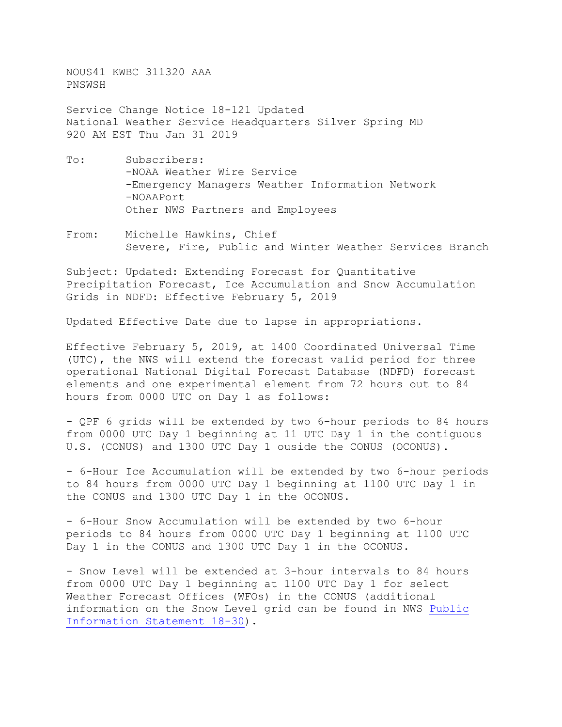NOUS41 KWBC 311320 AAA PNSWSH

Service Change Notice 18-121 Updated National Weather Service Headquarters Silver Spring MD 920 AM EST Thu Jan 31 2019

- To: Subscribers: -NOAA Weather Wire Service -Emergency Managers Weather Information Network -NOAAPort Other NWS Partners and Employees
- From: Michelle Hawkins, Chief Severe, Fire, Public and Winter Weather Services Branch

Subject: Updated: Extending Forecast for Quantitative Precipitation Forecast, Ice Accumulation and Snow Accumulation Grids in NDFD: Effective February 5, 2019

Updated Effective Date due to lapse in appropriations.

Effective February 5, 2019, at 1400 Coordinated Universal Time (UTC), the NWS will extend the forecast valid period for three operational National Digital Forecast Database (NDFD) forecast elements and one experimental element from 72 hours out to 84 hours from 0000 UTC on Day 1 as follows:

- QPF 6 grids will be extended by two 6-hour periods to 84 hours from 0000 UTC Day 1 beginning at 11 UTC Day 1 in the contiguous U.S. (CONUS) and 1300 UTC Day 1 ouside the CONUS (OCONUS).

- 6-Hour Ice Accumulation will be extended by two 6-hour periods to 84 hours from 0000 UTC Day 1 beginning at 1100 UTC Day 1 in the CONUS and 1300 UTC Day 1 in the OCONUS.

- 6-Hour Snow Accumulation will be extended by two 6-hour periods to 84 hours from 0000 UTC Day 1 beginning at 1100 UTC Day 1 in the CONUS and 1300 UTC Day 1 in the OCONUS.

- Snow Level will be extended at 3-hour intervals to 84 hours from 0000 UTC Day 1 beginning at 1100 UTC Day 1 for select Weather Forecast Offices (WFOs) in the CONUS (additional information on the Snow Level grid can be found in NWS [Public](https://www.weather.gov/media/notification/pdfs/pns18-30snow_level_grid.pdf)  [Information Statement 18-30\)](https://www.weather.gov/media/notification/pdfs/pns18-30snow_level_grid.pdf).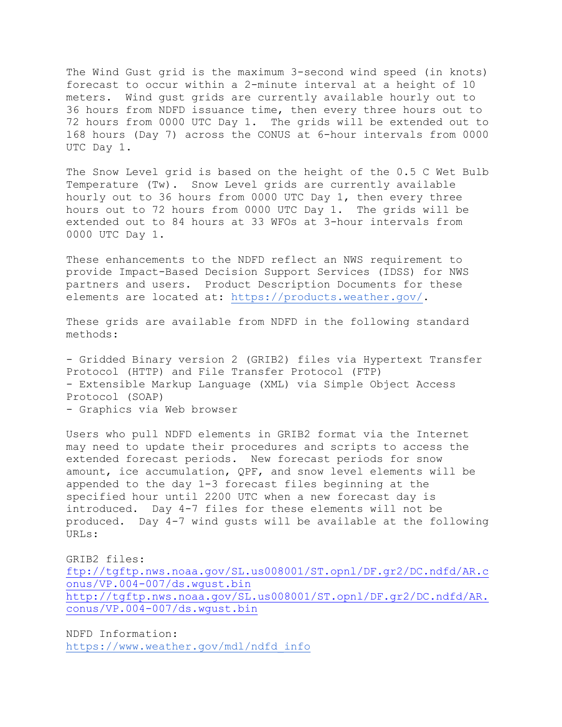The Wind Gust grid is the maximum 3-second wind speed (in knots) forecast to occur within a 2-minute interval at a height of 10 meters. Wind gust grids are currently available hourly out to 36 hours from NDFD issuance time, then every three hours out to 72 hours from 0000 UTC Day 1. The grids will be extended out to 168 hours (Day 7) across the CONUS at 6-hour intervals from 0000 UTC Day 1.

The Snow Level grid is based on the height of the 0.5 C Wet Bulb Temperature (Tw). Snow Level grids are currently available hourly out to 36 hours from 0000 UTC Day 1, then every three hours out to 72 hours from 0000 UTC Day 1. The grids will be extended out to 84 hours at 33 WFOs at 3-hour intervals from 0000 UTC Day 1.

These enhancements to the NDFD reflect an NWS requirement to provide Impact-Based Decision Support Services (IDSS) for NWS partners and users. Product Description Documents for these elements are located at: [https://products.weather.gov/.](https://products.weather.gov/)

These grids are available from NDFD in the following standard methods:

- Gridded Binary version 2 (GRIB2) files via Hypertext Transfer Protocol (HTTP) and File Transfer Protocol (FTP) - Extensible Markup Language (XML) via Simple Object Access Protocol (SOAP) - Graphics via Web browser

Users who pull NDFD elements in GRIB2 format via the Internet may need to update their procedures and scripts to access the extended forecast periods. New forecast periods for snow amount, ice accumulation, QPF, and snow level elements will be appended to the day 1-3 forecast files beginning at the specified hour until 2200 UTC when a new forecast day is introduced. Day 4-7 files for these elements will not be produced. Day 4-7 wind gusts will be available at the following URLs:

GRIB2 files: [ftp://tgftp.nws.noaa.gov/SL.us008001/ST.opnl/DF.gr2/DC.ndfd/AR.c](ftp://tgftp.nws.noaa.gov/SL.us008001/ST.opnl/DF.gr2/DC.ndfd/AR.conus/VP.004-007/ds.wgust.bin) [onus/VP.004-007/ds.wgust.bin](ftp://tgftp.nws.noaa.gov/SL.us008001/ST.opnl/DF.gr2/DC.ndfd/AR.conus/VP.004-007/ds.wgust.bin)

[http://tgftp.nws.noaa.gov/SL.us008001/ST.opnl/DF.gr2/DC.ndfd/AR.](http://tgftp.nws.noaa.gov/SL.us008001/ST.opnl/DF.gr2/DC.ndfd/AR.conus/VP.004-007/ds.wgust.bin) [conus/VP.004-007/ds.wgust.bin](http://tgftp.nws.noaa.gov/SL.us008001/ST.opnl/DF.gr2/DC.ndfd/AR.conus/VP.004-007/ds.wgust.bin)

NDFD Information: [https://www.weather.gov/mdl/ndfd\\_info](https://www.weather.gov/mdl/ndfd_info)